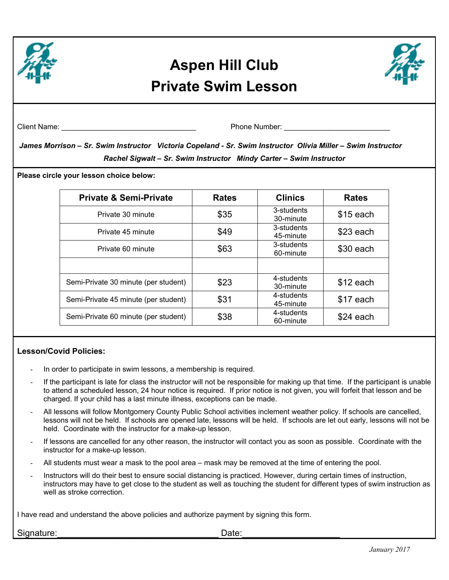

## **Aspen Hill Club Private Swim Lesson**



Client Name: \_\_\_\_\_\_\_\_\_\_\_\_\_\_\_\_\_\_\_\_\_\_\_\_\_\_\_\_\_\_\_\_\_ Phone Number: \_\_\_\_\_\_\_\_\_\_\_\_\_\_\_\_\_\_\_\_\_\_\_\_\_\_

 *James Morrison – Sr. Swim Instructor Victoria Copeland - Sr. Swim Instructor Olivia Miller – Swim Instructor Rachel Sigwalt – Sr. Swim Instructor Mindy Carter – Swim Instructor* 

**Please circle your lesson choice below:** 

| <b>Private &amp; Semi-Private</b>    | <b>Rates</b> | <b>Clinics</b>          | <b>Rates</b> |
|--------------------------------------|--------------|-------------------------|--------------|
| Private 30 minute                    | \$35         | 3-students<br>30-minute | \$15 each    |
| Private 45 minute                    | \$49         | 3-students<br>45-minute | $$23$ each   |
| Private 60 minute                    | \$63         | 3-students<br>60-minute | $$30$ each   |
|                                      |              |                         |              |
| Semi-Private 30 minute (per student) | \$23         | 4-students<br>30-minute | $$12$ each   |
| Semi-Private 45 minute (per student) | \$31         | 4-students<br>45-minute | \$17 each    |
| Semi-Private 60 minute (per student) | \$38         | 4-students<br>60-minute | \$24 each    |

## **Lesson/Covid Policies:**

- In order to participate in swim lessons, a membership is required.
- If the participant is late for class the instructor will not be responsible for making up that time. If the participant is unable to attend a scheduled lesson, 24 hour notice is required. If prior notice is not given, you will forfeit that lesson and be charged. If your child has a last minute illness, exceptions can be made.
- All lessons will follow Montgomery County Public School activities inclement weather policy. If schools are cancelled, lessons will not be held. If schools are opened late, lessons will be held. If schools are let out early, lessons will not be held. Coordinate with the instructor for a make-up lesson.
- If lessons are cancelled for any other reason, the instructor will contact you as soon as possible. Coordinate with the instructor for a make-up lesson.
- All students must wear a mask to the pool area mask may be removed at the time of entering the pool.
- Instructors will do their best to ensure social distancing is practiced. However, during certain times of instruction, instructors may have to get close to the student as well as touching the student for different types of swim instruction as well as stroke correction.

I have read and understand the above policies and authorize payment by signing this form.

Signature:\_\_\_\_\_\_\_\_\_\_\_\_\_\_\_\_\_\_\_\_\_\_\_\_\_\_\_\_\_\_\_\_\_ Date:\_\_\_\_\_\_\_\_\_\_\_\_\_\_\_\_\_\_\_\_